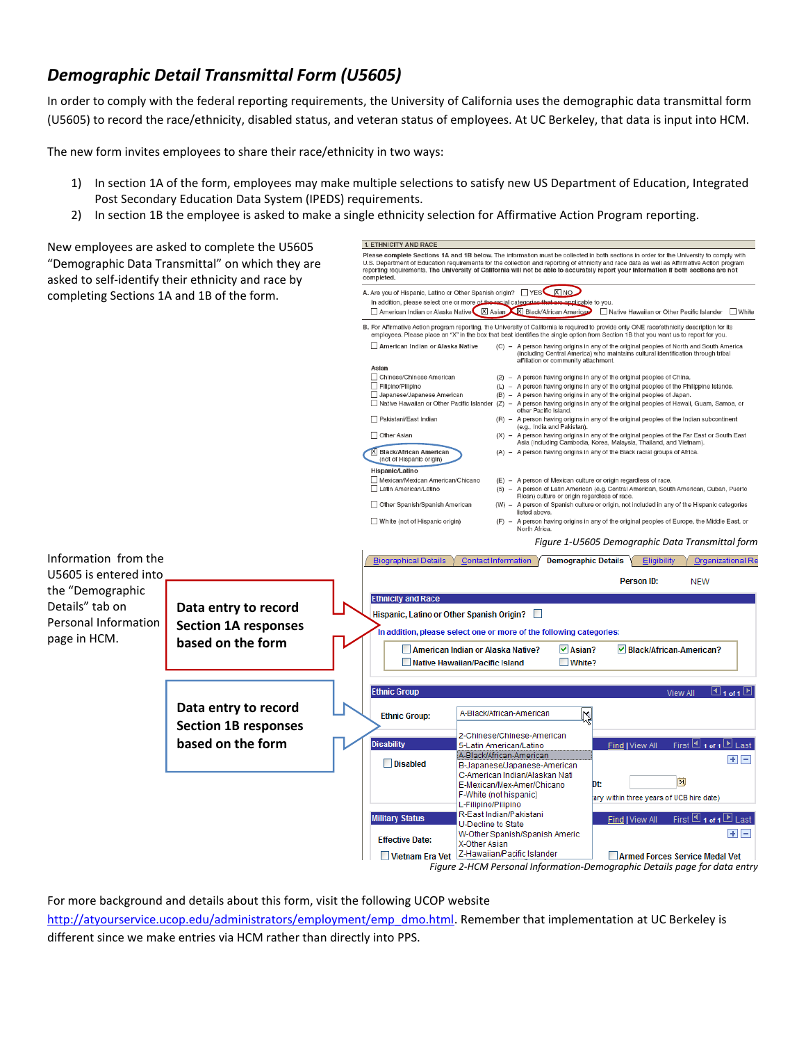# *Demographic Detail Transmittal Form (U5605)*

In order to comply with the federal reporting requirements, the University of California uses the demographic data transmittal form (U5605) to record the race/ethnicity, disabled status, and veteran status of employees. At UC Berkeley, that data is input into HCM.

The new form invites employees to share their race/ethnicity in two ways:

- 1) In section 1A of the form, employees may make multiple selections to satisfy new US Department of Education, Integrated Post Secondary Education Data System (IPEDS) requirements.
- 2) In section 1B the employee is asked to make a single ethnicity selection for Affirmative Action Program reporting.

**1. ETHNICITY AND RACE** New employees are asked to complete the U5605 Please complete Sections 1A and 1B below. The information must be collected in both sections in order for the University to comply with Please complete Sections 1A and 1B below. The information must be collected in both sections in order for the University to comp<br>U.S. Department of Education requirements for the collection and reporting of ethnicity and r "Demographic Data Transmittal" on which they are asked to self-identify their ethnicity and race by A. Are you of Hispanic, Latino or Other Spanish origin? TYES KINO completing Sections 1A and 1B of the form. In addition, please select one or more of  $\overline{\mathsf{X}}$  Asian ■ Native Hawaiian or Other Pacific Islander ■ White American Indian or Alaska Native B. For Affirmative Action program reporting, the University of California is required to provide only ONE race/ethnicity description for its employees. Please place an "X" in the box that best identifies the single option from Section 1B that you want us to report for you. (C) - A person having origins in any of the original peoples of North and South America<br>(including Central America) who maintains cultural identification through tribal<br>affiliation or community attachment. American Indian or Alaska Native Asian □ Chinese/Chinese American<br>□ Filipino/Pilipino (2) - A person having origins in any of the original peoples of China. (L) - A person having origins in any of the original peoples of the Philippine Islands. Japanese/Japanese American (B) - A person having origins in any of the original peoples of Japan. Comparable to the Hawaiian or Other Pacific Islander (Z) – A person having origins in any of the original peoples of Hawaii, Guam, Samoa, or<br>
Thathee Hawaiian or Other Pacific Islander (Z) – A person having origins in any Pakistani/East Indian (R) - A person having origins in any of the original peoples of the Indian subcontinent (e.g., India and Pakistan). Other Asian  $(X) -$ A person having origins in any of the original peoples of the Far East or South East<br>Asia (including Cambodia, Korea, Malaysia, Thailand, and Vietnam). X Black/African American (A) - A person having origins in any of the Black racial groups of Africa. (not of Hispanic origin) Hispanic/Latino Mexican/Mexican American/Chicano (E) - A person of Mexican culture or origin regardless of race. (5) - A person of Latin American (e.g. Central American, South American, Cuban, Puerto<br>Rican) culture or origin regardless of race. Latin American/Latino Other Spanish/Spanish American (W) - A person of Spanish culture or origin, not included in any of the Hispanic categories listed above White (not of Hispanic origin) (F) - A person having origins in any of the original peoples of Europe, the Middle East, or<br>North Africa. *Figure 1-U5605 Demographic Data Transmittal form* Information from the Biographical Details Gontact Information Demographic Details Eligibility Organizational Re U5605 is entered into Person ID: **NEW** the "Demographic **Ethnicity and Race** Details" tab on **Data entry to record**  Hisnanic, Latino or Other Spanish Origin? Personal Information **Section 1A responses**  In addition, please select one or more of the following categories: page in HCM. **based on the form** American Indian or Alaska Native?  $\nabla$  Asian? √Black/African-American? Native Hawaiian/Pacific Island  $\square$  White? **Ethnic Group**  $\Box$ 1 of 1 **Data entry to record**  A-Black/African-American Ķ **Ethnic Group: Section 1B responses**  2-Chinese/Chinese-American **based on the formDisability** First  $\blacksquare$  1 of 1  $\blacksquare$  1 ast 5-Latin American/Latino **Find I View** A-Black/African-American  $+$   $-$ **Disabled** B-Japanese/Japanese-American C-American Indian/Alaskan Nati E E-Mexican/Mex-Amer/Chicano Dt: F-White (not hispanic) ary within three years of UCB hire date) L-Filipino/Pilipino R-East Indian/Pakistani **Military Status** Find | View All First 1 1 of 1 D Last U-Decline to State W-Other Spanish/Spanish Americ 8 E **Effective Date:** X-Other Asian Vietnam Era Vet Z-Hawaiian/Pacific Islander Armed Forces Service Medal Vet

*Figure 2-HCM Personal Information-Demographic Details page for data entry*

For more background and details about this form, visit the following UCOP website [http://atyourservice.ucop.edu/administrators/employment/emp\\_dmo.html.](http://atyourservice.ucop.edu/administrators/employment/emp_dmo.html) Remember that implementation at UC Berkeley is different since we make entries via HCM rather than directly into PPS.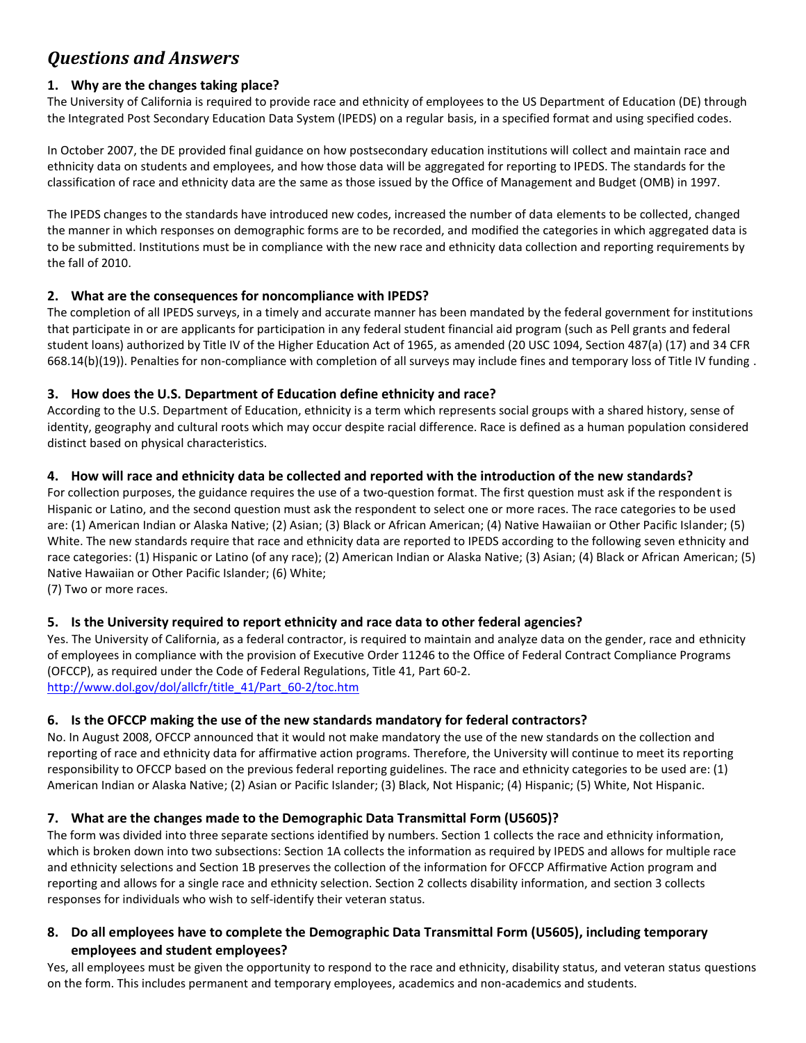# *Questions and Answers*

# **1. Why are the changes taking place?**

The University of California is required to provide race and ethnicity of employees to the US Department of Education (DE) through the Integrated Post Secondary Education Data System (IPEDS) on a regular basis, in a specified format and using specified codes.

In October 2007, the DE provided final guidance on how postsecondary education institutions will collect and maintain race and ethnicity data on students and employees, and how those data will be aggregated for reporting to IPEDS. The standards for the classification of race and ethnicity data are the same as those issued by the Office of Management and Budget (OMB) in 1997.

The IPEDS changes to the standards have introduced new codes, increased the number of data elements to be collected, changed the manner in which responses on demographic forms are to be recorded, and modified the categories in which aggregated data is to be submitted. Institutions must be in compliance with the new race and ethnicity data collection and reporting requirements by the fall of 2010.

#### **2. What are the consequences for noncompliance with IPEDS?**

The completion of all IPEDS surveys, in a timely and accurate manner has been mandated by the federal government for institutions that participate in or are applicants for participation in any federal student financial aid program (such as Pell grants and federal student loans) authorized by Title IV of the Higher Education Act of 1965, as amended (20 USC 1094, Section 487(a) (17) and 34 CFR 668.14(b)(19)). Penalties for non‐compliance with completion of all surveys may include fines and temporary loss of Title IV funding .

# **3. How does the U.S. Department of Education define ethnicity and race?**

According to the U.S. Department of Education, ethnicity is a term which represents social groups with a shared history, sense of identity, geography and cultural roots which may occur despite racial difference. Race is defined as a human population considered distinct based on physical characteristics.

# **4. How will race and ethnicity data be collected and reported with the introduction of the new standards?**

For collection purposes, the guidance requires the use of a two-question format. The first question must ask if the respondent is Hispanic or Latino, and the second question must ask the respondent to select one or more races. The race categories to be used are: (1) American Indian or Alaska Native; (2) Asian; (3) Black or African American; (4) Native Hawaiian or Other Pacific Islander; (5) White. The new standards require that race and ethnicity data are reported to IPEDS according to the following seven ethnicity and race categories: (1) Hispanic or Latino (of any race); (2) American Indian or Alaska Native; (3) Asian; (4) Black or African American; (5) Native Hawaiian or Other Pacific Islander; (6) White;

(7) Two or more races.

# **5. Is the University required to report ethnicity and race data to other federal agencies?**

Yes. The University of California, as a federal contractor, is required to maintain and analyze data on the gender, race and ethnicity of employees in compliance with the provision of Executive Order 11246 to the Office of Federal Contract Compliance Programs (OFCCP), as required under the Code of Federal Regulations, Title 41, Part 60‐2. http://www.dol.gov/dol/allcfr/title\_41/Part\_60-2/toc.htm

# **6. Is the OFCCP making the use of the new standards mandatory for federal contractors?**

No. In August 2008, OFCCP announced that it would not make mandatory the use of the new standards on the collection and reporting of race and ethnicity data for affirmative action programs. Therefore, the University will continue to meet its reporting responsibility to OFCCP based on the previous federal reporting guidelines. The race and ethnicity categories to be used are: (1) American Indian or Alaska Native; (2) Asian or Pacific Islander; (3) Black, Not Hispanic; (4) Hispanic; (5) White, Not Hispanic.

# **7. What are the changes made to the Demographic Data Transmittal Form (U5605)?**

The form was divided into three separate sections identified by numbers. Section 1 collects the race and ethnicity information, which is broken down into two subsections: Section 1A collects the information as required by IPEDS and allows for multiple race and ethnicity selections and Section 1B preserves the collection of the information for OFCCP Affirmative Action program and reporting and allows for a single race and ethnicity selection. Section 2 collects disability information, and section 3 collects responses for individuals who wish to self‐identify their veteran status.

#### **8. Do all employees have to complete the Demographic Data Transmittal Form (U5605), including temporary employees and student employees?**

Yes, all employees must be given the opportunity to respond to the race and ethnicity, disability status, and veteran status questions on the form. This includes permanent and temporary employees, academics and non-academics and students.